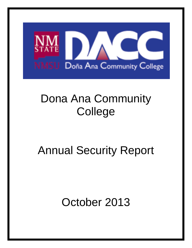

# Dona Ana Community **College**

# Annual Security Report

October 2013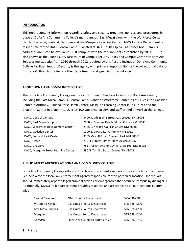#### **INTRODUCTION**

This report contains information regarding safety and security programs, policies, and procedures in place at Doña Ana Community College's main campus (East Mesa) along with the Workforce Center, Hatch, Chaparral, Sunland, Gadsden and the Mesquite Learning Center. NMSU Police Department is responsible for the DACC Central Campus located at 3400 South Espina, Las Cruces NM. Campus addresses are listed below (Table 1). It complies with the requirements established by 20 USC 1092, also known as the Jeanne Clery Disclosure of Campus Security Policy and Campus Crime Statistics Act. Select crime statistics from 2010 through 2012 required by this Act are included. Dona Ana Community College Facilities Support/Security is the agency with primary responsibility for the collection of data for this report, though it relies on other departments and agencies for assistance.

#### **ABOUT DONA ANA COMMUNITY COLLEGE**

The Doña Ana Community College owns or controls eight teaching locations in Dona Ana County including the East Mesa Campus, Central Campus and the Workforce Center in Las Cruces; the Gadsden Center in Anthony, Sunland Park; Hatch Center; Mesquite Learning Center in Las Cruces and the Chaparral Center in Chaparral. Over 15,100 students, faculty, and staff attend or work at the college.

| DACC, Central Campus                  | 3400 South Espina Street, Las Cruces NM 88003  |
|---------------------------------------|------------------------------------------------|
| DACC, East Mesa Campus                | 2800 N. Sonoma Ranch Rd, Las Cruces NM 88011   |
| DACC, Workforce Development Center    | 2345 E. Nevada Ave, Las Cruces NM 88001        |
| DACC, Gadsden Center                  | 1700 E. O'Hara Rd, Anthony NM 88021            |
| DACC, Sunland Park Center             | 3365 McNutt Road, Sunland Park NM 88063        |
| DACC, Hatch                           | 219 Hill Street, Hatch, New Mexico 87937       |
| DACC, Chaparral                       | 755 Prescott Anthony Drive, Chaparral NM 88081 |
| DACC, Mesquite Street Learning Center | 890 N. Tornillo St, Las Cruces NM 88001        |

#### **PUBLIC SAFETY AGENCIES AT DONA ANA COMMUNITY COLLEGE**

Dona Ana Community College relies on local law enforcement agencies for response to our campuses. See below for the local law enforcement agency responsible for the particular location. Individuals should immediately report alleged criminal actions or emergencies that occur on campus by dialing 911. Additionally, NMSU Police Department provides response and assistance to all our locations county wide.

| Central Campus          | <b>NMSU Police Department</b>    | 575-646-3311 |
|-------------------------|----------------------------------|--------------|
| <b>Workforce Center</b> | Las Cruces Police Department     | 575-528-4200 |
| East Mesa Campus        | Las Cruces Police Department     | 575-528-4200 |
| Mesquite                | Las Cruces Police Department     | 575-528-4200 |
| Gadsden                 | Doña Ana County Sheriff's Office | 575-526-0795 |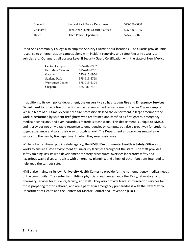| Sunland   | Sunland Park Police Department   | 575-589-6600 |
|-----------|----------------------------------|--------------|
| Chaparral | Doña Ana County Sheriff's Office | 575-526-0795 |
| Hatch     | <b>Hatch Police Department</b>   | 575-267-3021 |

Dona Ana Community College also employs Security Guards at our locations. The Guards provide initial response to emergencies on campus along with incident reporting and safety/security escorts to vehicles etc. Our guards all possess Level II Security Guard Certification with the state of New Mexico.

| <b>Central Campus</b>   | 575-202-8962 |
|-------------------------|--------------|
| East Mesa Campus        | 575-202-9781 |
| Gadsden                 | 575-915-6954 |
| <b>Sunland Park</b>     | 575-915-5728 |
| <b>Workforce Center</b> | 575-915-6194 |
| Chaparral               | 575-386-7451 |

In addition to its own police department, the university also has its own **Fire and Emergency Services Department** to provide fire protection and emergency medical response on the Las Cruces campus. While a team of full-time, experienced fire professionals lead the department, a large amount of the work is performed by student firefighters who are trained and certified as firefighters, emergency medical technicians, and even hazardous materials technicians. This department is unique to NMSU, and it provides not only a rapid response to emergencies on campus, but also a great way for students to get experience and work their way through school. The Department also provides mutual aide support to the nearby fire departments when they need assistance.

While not a traditional public safety agency, the **NMSU Environmental Health & Safety Office** also works to ensure a safe environment at university facilities throughout the state. The staff provides safety training, assists with development of safety procedures, oversees laboratory safety and hazardous waste disposal, assists with emergency planning, and a host of other functions intended to help keep the campus safe.

NMSU also maintains its own **University Health Center** to provide for the non-emergency medical needs of the community. The center has full-time physicians and nurses, and offer X-ray, laboratory, and pharmacy services for students, faculty, and staff. They also provide travel immunization services for those preparing for trips abroad, and are a partner in emergency preparedness with the New Mexico Department of Health and the Centers for Disease Control and Prevention (CDC).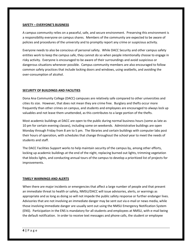#### **SAFETY – EVERYONE'S BUSINESS**

A campus community relies on a peaceful, safe, and secure environment. Preserving this environment is a responsibility everyone on campus shares. Members of the community are expected to be aware of policies and procedures of the university and to promptly report any crime or suspicious activity.

Everyone needs to also be conscious of personal safety. While DACC Security and other campus safety entities work to keep the campus safe, they cannot do so when people intentionally choose to engage in risky activity. Everyone is encouraged to be aware of their surroundings and avoid suspicious or dangerous situations whenever possible. Campus community members are also encouraged to follow common safety practices that include locking doors and windows, using seatbelts, and avoiding the over-consumption of alcohol.

#### **SECURITY OF BUILDINGS AND FACILITIES**

Dona Ana Community College (DACC) campuses are relatively safe compared to other universities and cities its size. However, that does not mean they are crime free. Burglary and thefts occur more frequently than other crimes on campus, and students and employees are encouraged to always lock up valuables and not leave them unattended, as this contributes to a large portion of the thefts.

Most academic buildings at DACC are open to the public during normal business hours (some as late as 10 pm for certain evening classes), including some on weekends. Administrative buildings are open Monday through Friday from 8 am to 5 pm. The libraries and certain buildings with computer labs post their hours of operation, with schedules that change throughout the school year to meet the needs of students and staff.

The DACC Facilities Support works to help maintain security of the campus by, among other efforts, locking up academic buildings at the end of the night, replacing burned out lights, trimming vegetation that blocks lights, and conducting annual tours of the campus to develop a prioritized list of projects for improvements.

#### **TIMELY WARNINGS AND ALERTS**

When there are major incidents or emergencies that affect a large number of people and that present an immediate threat to health or safety, NMSU/DACC will issue advisories, alerts, or warnings as appropriate and as long as doing so will not impede the public safety response or further endanger lives. Advisories that are not involving an immediate danger may be sent out via e-mail or news media, while those involving immediate danger are usually sent out using the NMSU Emergency Notification System (ENS). Participation in the ENS is mandatory for all students and employees at NMSU, with e-mail being the default notification. In order to receive text messages and phone calls, the student or employee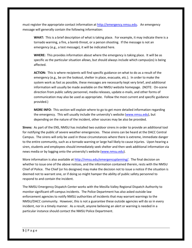must register the appropriate contact information at [http://emergency.nmsu.edu.](http://emergency.nmsu.edu/) An emergency message will generally contain the following information:

**WHAT:** This is a brief description of what is taking place. For example, it may indicate there is a tornado warning, a fire, a bomb threat, or a person shooting. If the message is not an emergency (e.g., a test message), it will be indicated here.

**WHERE:** This provides information about where the emergency is taking place. It will be as specific as the particular situation allows, but should always include which campus(es) is being affected.

**ACTION:** This is where recipients will find specific guidance on what to do as a result of the emergency (e.g., be on the lookout, shelter in place, evacuate, etc.). In order to make the system work as fast as possible, these messages are necessarily kept very brief, and additional information will usually be made available on the NMSU website homepage. (NOTE: On-scene direction from public safety personnel, media releases, update e-mails, and other forms of communication may also be used as appropriate. Follow the most current and specific guidance provided.)

**MORE INFO:** This section will explain where to go to get more detailed information regarding the emergency. This will usually include the university's website ([www.nmsu.edu\)](http://www.nmsu.edu/), but depending on the nature of the incident, other sources may be also be provided.

**Sirens:** As part of the ENS, NMSU has installed two outdoor sirens in order to provide an additional tool for notifying the public of severe weather emergencies. These sirens can be heard at the DACC Central Campus. The sirens will only be used in those circumstances where there is extreme, immediate danger to the entire community, such as a tornado warning or large hail likely to cause injuries. Upon hearing a siren, students and employees should immediately seek shelter and then seek additional information via news media or by logging onto the university's website ([www.nmsu.edu\)](http://www.nmsu.edu/).

More information is also available at [http://nmsu.edu/emergencyplanning/.](http://nmsu.edu/emergencyplanning/) The final decision on whether to issue one of the above notices, and the information contained therein, rests with the NMSU Chief of Police. The Chief (or his designee) may make the decision not to issue a notice if the situation is deemed not to warrant one, or if doing so might hamper the ability of public safety personnel to respond to and contain the incident.

The NMSU Emergency Dispatch Center works with the Mesilla Valley Regional Dispatch Authority to monitor significant off-campus incidents. The Police Department has also asked outside law enforcement agencies to notify NMSU authorities of incidents that may warrant warnings to the NMSU/DACC community. However, this is not a guarantee these outside agencies will do so in every incident, nor in a timely manner. As a result, anyone believing an alert or warning is needed in a particular instance should contact the NMSU Police Department.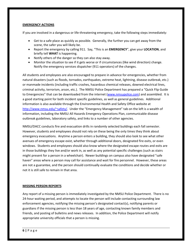#### **EMERGENCY ACTIONS**

If you are involved in a dangerous or life-threatening emergency, take the following steps immediately:

- Get to a safe place as quickly as possible. Generally, the further you can get away from the scene, the safer you will likely be.
- Report the emergency by calling 911. Say, "This is an **EMERGENCY**", give your **LOCATION**, and briefly tell **WHAT** is happening.
- Notify others of the danger so they can also stay away.
- Monitor the situation to see if it gets worse or if circumstances (like wind direction) change. Notify the emergency services dispatcher (911 operators) of the changes.

All students and employees are also encouraged to prepare in advance for emergencies, whether from natural disasters (such as floods, tornados, earthquakes, extreme heat, lightning, disease outbreak, etc.) or manmade incidents (including traffic crashes, hazardous chemical releases, downed electrical lines, criminal activity, terrorism, arson, etc.). The NMSU Police Department has prepared a "Quick Flip Guide to Emergencies" that can be downloaded from the internet ([www.nmsupolice.com\)](http://www.nmsupolice.com/) and assembled. It is a good starting point for both incident specific guidelines, as well as general guidelines. Additional information is also available through the Environmental Health and Safety Office website at <http://www.nmsu.edu/~safety/>. Under the "Emergency Management" tab on the left is a wealth of information, including the NMSU All Hazards Emergency Operations Plan, communicable disease outbreak guidelines, laboratory safety, and links to a number of other agencies.

NMSU/DACC conducts fire and evacuation drills in randomly selected buildings each fall semester. However, students and employees should not rely on these being the only times they think about emergency evacuations. Anytime a person enters a building, they should also look to see what other avenues of emergency escape exist, whether through additional doors, designated fire exits, or even windows. Students and employees should also know where the designated escape routes and exits are in those buildings they live and/or work in, as well as any potential specific challenges (such as stairs might present for a person in a wheelchair). Newer buildings on campus also have designated "safe haven" areas where a person may call for assistance and wait for fire personnel. However, these areas are not a guarantee, and the person should continually evaluate the conditions and decide whether or not it is still safe to remain in that area.

#### **MISSING PERSON REPORTS**

Any report of a missing person is immediately investigated by the NMSU Police Department. There is no 24-hour waiting period, and attempts to locate the person will include contacting surrounding law enforcement agencies, notifying the missing person's designated contact(s), notifying parents or guardians if the missing person is less than 18 years of age, contacting known family members and friends, and posting of bulletins and news releases. In addition, the Police Department will notify appropriate university officials that a person is missing.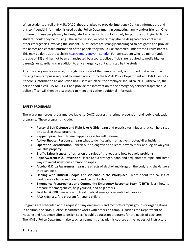When students enroll at NMSU/DACC, they are asked to provide Emergency Contact Information, and this confidential information is used by the Police Department in contacting family and/or friends. One or more of these people may be designated as a person to contact solely for purposes of trying to find a student should they be missing. The same person, or others, may also be designated for contact in other emergencies involving the student. All students are strongly encouraged to designate and provide the names and contact information of the people they would like contacted under these circumstances. This may be done at the websit[e http://emergency.nmsu.edu.](http://emergency.nmsu.edu/) For any student who is a minor (under the age of 18) and has not been emancipated by a court, police officials are required to notify his/her parent(s) or guardian(s), in addition to any emergency contacts listed by the student.

Any university employee who, through the course of their employment, is informed that a person is missing from campus is required to immediately notify the NMSU Police Department and DACC Security. If there is information an abduction has just taken place, the employee should call 911. Otherwise, the person should call 575-646-3311 and provide the information to the emergency services dispatcher. A police officer will then be dispatched to meet and gather additional information.

### **SAFETY PROGRAMS**

There are numerous programs available to DACC addressing crime prevention and public education programs. These programs include:

- **Personal Self Defense and Fight Like A Girl:** learn and practice techniques that can help stop an attack in these programs
- **Pepper Spray:** learn to use pepper sprays for self defense
- **Active Shooter Response:** learn what to do if caught in an active shooter/killer incident
- **Operation Identification:** check out an engraver and learn how to mark and log down your valuable property
- **Traffic Safety Issues:** refresher on the rules of the road and how to avoid problems
- **Rape Awareness & Prevention:** learn about stranger, date, and acquaintance rape, and some ways to avoid situations common to rapes
- **Alcohol & Drug Awareness:** learn the effects of alcohol and drugs on the body, and the dangers they can pose
- **Dealing with Difficult People and Violence in the Workplace:** learn about the causes of workplace violence and how to reduce its likelihood
- **Emergency Preparedness and Community Emergency Response Team (CERT):** learn how to prepare for emergencies, help yourself, and help others
- **First Aid & CPR:** learn how to treat medical emergencies until help arrives
- **RAD Kids:** a safety program for young children

Programs are scheduled at the request of any on-campus and most off-campus groups or organizations. In addition, the NMSU Police Department works with others on campus (such as the Department of Housing and Residence Life) to design specific public education programs for the needs of each area. The NMSU Police Department also teaches segments of academic courses at the request of instructors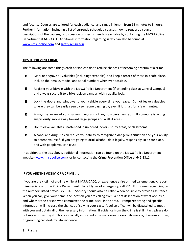and faculty. Courses are tailored for each audience, and range in length from 15 minutes to 8 hours. Further information, including a list of currently scheduled courses, how to request a course, descriptions of the courses, or discussion of specific needs is available by contacting the NMSU Police Department at 646-3311. Additional information regarding safety can also be found at [www.nmsupolice.com](http://www.nmsupolice.com/) an[d safety.nmsu.edu.](http://www.safety.nmsu.edu/)

#### **TIPS TO PREVENT CRIME**

The following are some things each person can do to reduce chances of becoming a victim of a crime:

- $\mathbf{r}$ Mark or engrave all valuables (including textbooks), and keep a record of these in a safe place. Include their make, model, and serial numbers whenever possible.
- Register your bicycle with the NMSU Police Department (if attending class at Central Campus)  $\mathbf{B}$ and always secure it to a bike rack on campus with a quality lock.
- Lock the doors and windows to your vehicle every time you leave. Do not leave valuables œ where they can be easily seen by someone passing by, even if it is just for a few minutes.
- Always be aware of your surroundings and of any strangers near you. If someone is acting  $\mathbf{r}$ suspiciously, move away toward large groups and well lit areas.
- $\mathbf{r}$ Don't leave valuables unattended in unlocked lockers, study areas, or classrooms.
- $\mathbf{B}$ Alcohol and drug use can reduce your ability to recognize a dangerous situation and your ability to defend yourself. If you are going to drink alcohol, do it legally, responsibly, in a safe place, and with people you can trust.

In addition to the tips above, additional information can be found on the NMSU Police Department website [\(www.nmsupolice.com\)](http://www.nmsupolice.com/), or by contacting the Crime Prevention Office at 646-3311.

# **IF YOU ARE THE VICTIM OF A CRIME . . .**

If you are the victim of a crime while at NMSU/DACC, or experience a fire or medical emergency, report it immediately to the Police Department. For all types of emergency, call 911. For non-emergencies, call the numbers listed previously. DACC Security should also be called when possible to provide assistance. When you call, give your name, the location you are calling from, a brief description of what occurred, and whether the person who committed the crime is still in the area. Prompt reporting and specific information will increase the chances of solving your case. A police officer will be dispatched to meet with you and obtain all of the necessary information. If evidence from the crime is still intact, please do not move or destroy it. This is especially important in sexual assault cases. Showering, changing clothes, or grooming can destroy vital evidence.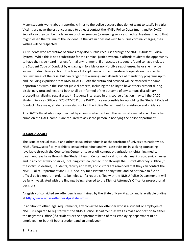Many students worry about reporting crimes to the police because they do not want to testify in a trial. Victims are nevertheless encouraged to at least contact the NMSU Police Department and/or DACC Security so they can be made aware of other services (counseling services, medical treatment, etc.) that might lessen the trauma of the incident. If the victim does not wish to pursue criminal charges, their wishes will be respected.

All Students who are victims of crimes may also pursue recourse through the NMSU Student Judicial System. While this is not a substitute for the criminal justice system, it affords students the opportunity to have their side heard in a less formal environment. If an accused student is found to have violated the Student Code of Conduct by engaging in forcible or non-forcible sex offenses, he or she may be subject to disciplinary action. The level of disciplinary action administered depends on the specific circumstances of the case, but can range from warnings and attendance at mandatory programs up to and including expulsion from NMSU/DACC. Both the victim and accused will be afforded the same opportunities within the student judicial process, including the ability to have others present during disciplinary proceedings, and both shall be informed of the outcome of any campus disciplinary proceedings alleging sexual assault. Students interested in this course of action may call the DACC Student Services Office at 575-527-7531, the DACC office responsible for upholding the Student Code of Conduct. As always, students may also contact the Police Department for assistance and guidance.

Any DACC official who is approached by a person who has been the victim of a sexual assault or other crime on the DACC campus are required to assist the person in notifying the police department.

#### **SEXUAL ASSAULT**

The issue of sexual assault and other sexual misconduct is at the forefront of universities nationwide. NMSU/DACC specifically prohibits sexual misconduct and will assist victims in seeking counseling (available through the Counseling Center or several off-campus organizations), obtaining medical treatment (available through the Student Health Center and local hospitals), making academic changes, and in any other way possible, including criminal prosecution through the District Attorney's Office (if the victim so desires). Students, faculty and staff, and visitors are reminded that they can contact the NMSU Police Department and DACC Security for assistance at any time, and do not have to file an official police report in order to be helped. If a report is filed with the NMSU Police Department, it will be fully investigated with the findings being referred to the District Attorney's Office for prosecutorial decisions.

A registry of convicted sex offenders is maintained by the State of New Mexico, and is available on-line a[t http://www.nmsexoffender.dps.state.nm.us.](http://www.nmsexoffender.dps.state.nm.us/)

In addition to other legal requirements, any convicted sex offender who is a student or employee of NMSU is required to register with the NMSU Police Department, as well as make notification to either the Registrar's Office (if a student) or the department head of their employing department (if an employee), or both (if both a student and an employee).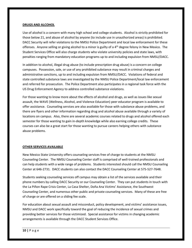#### **DRUGS AND ALCOHOL**

Use of alcohol is a concern with many high school and college students. Alcohol is strictly prohibited for those below 21, and abuse of alcohol by anyone (to include use in unauthorized areas) is prohibited. DACC Security will refer violations to the NMSU Police Department and local law enforcement for these offenses. Anyone selling or giving alcohol to a minor is guilty of a  $4<sup>th</sup>$  degree felony in New Mexico. The Student Services Office will also charge students who violate university policies and state laws, with penalties ranging from mandatory education programs up to and including expulsion from NMSU/DACC.

In addition to alcohol, illegal drug abuse (to include prescription drug abuse) is a concern on college campuses. Possession, sale, or use of any prohibited substance may result in criminal charges and administrative sanctions, up to and including expulsion from NMSU/DACC. Violations of federal and state controlled substance laws are investigated by the NMSU Police Department/local law enforcement and referred for prosecution. The Police Department also participates in a regional task force with the US Drug Enforcement Agency to address controlled substance violations.

For those wanting to know more about the effects of alcohol and drugs, as well as issues like sexual assault, the WAVE (Wellness, Alcohol, and Violence Education) peer educator program is available to offer assistance. Counseling services are also available for those with substance abuse problems, and there are flyers and other information regarding drug and alcohol abuse available through a variety of locations on campus. Also, there are several academic courses related to drugs and alcohol offered each semester for those wanting to gain in-depth knowledge while also earning college credits. These courses can also be a great start for those wanting to pursue careers helping others with substance abuse problems.

#### **OTHER SERVICES AVAILABLE**

New Mexico State University offers counseling services free of charge to students at the NMSU Counseling Center. The NMSU Counseling Center staff is comprised of well-trained professionals and can help students with a wide range of problems. Students interested should call the NMSU Counseling Center at 646-2731. DACC students can also contact the DACC Counseling Center at 575-527-7648.

Students seeking counseling services off campus may obtain a list of the services available and their phone numbers by calling DACC Security or our Counseling Center. They can put students in touch with the La Piñon Rape Crisis Center, La Casa Shelter, Doña Ana Victims' Assistance, the Southwest Counseling Center, and numerous other public and private counseling services. Many of these are free of charge or are offered on a sliding fee scale.

For education about sexual assault and misconduct, policy development, and victims' assistance issues, NMSU and DACC work specifically toward the goal of reducing the incidence of sexual crimes and providing better services for those victimized. Special assistance for victims in changing academic arrangements is available through the DACC Student Services Office.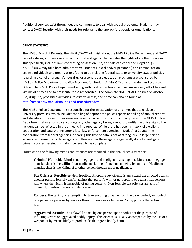Additional services exist throughout the community to deal with special problems. Students may contact DACC Security with their needs for referral to the appropriate people or organizations.

### **CRIME STATISTICS**

The NMSU Board of Regents, the NMSU/DACC administration, the NMSU Police Department and DACC Security strongly discourage any conduct that is illegal or that violates the rights of another individual. This specifically includes laws concerning possession, use, and sale of alcohol and illegal drugs. NMSU/DACC may take both administrative (student judicial and/or personnel) and criminal action against individuals and organizations found to be violating federal, state or university laws or policies regarding alcohol or drugs. Various drug or alcohol abuse education programs are sponsored by NMSU's Police Department, the Vice President for Student Affairs Office, and the Human Resources Office. The NMSU Police Department along with local law enforcement will make every effort to assist victims of crimes and to prosecute those responsible. The complete NMSU/DACC policies on alcohol use, drug use, prohibited activities, restrictive access, and crime can also be found at [http://nmsu.edu/manual/policies-and-procedures.html.](http://nmsu.edu/manual/policies-and-procedures.html)

The NMSU Police Department is responsible for the investigation of all crimes that take place on university premises, which includes the filing of appropriate police reports and filing of annual reports and statistics. However, other agencies have concurrent jurisdiction in many cases. The NMSU Police Department takes efforts to encourage any other agency taking a report to notify the university so the incident can be reflected in the annual crime reports. While there has been a history of excellent cooperation and data sharing among local law enforcement agencies in Doña Ana County, the cooperation from federal agencies in sharing this type of data is not as strong, due in large part to secrecy requirements by those agencies. However, as these agencies generally do not investigate crimes reported herein, this data is believed to be complete.

Statistics on the following crimes and offenses are reported in the annual security report:

**Criminal Homicide**: Murder, non-negligent, and negligent manslaughter. Murder/non-negligent manslaughter is the willful (non-negligent) killing of one human being by another. Negligent manslaughter is the killing of another person through gross negligence.

**Sex Offenses, Forcible or Non-forcible**: A forcible sex offense is any sexual act directed against another person, forcibly and/or against that person's will; or not forcibly or against that person's will where the victim is incapable of giving consent. Non-forcible sex offenses are acts of unlawful, non-forcible sexual intercourse.

**Robbery**: The taking, or attempting to take anything of value from the care, custody or control of a person or persons by force or threat of force or violence and/or by putting the victim in fear.

**Aggravated Assault**: The unlawful attack by one person upon another for the purpose of inflicting severe or aggravated bodily injury. This offense is usually accompanied by the use of a weapon or by means likely to produce death or great bodily harm.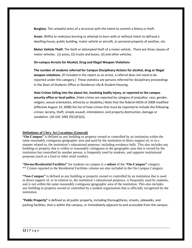**Burglary**: The unlawful entry of a structure with the intent to commit a felony or theft.

**Arson**: Willful or malicious burning or attempt to burn with or without intent to defraud a dwelling house, public building, motor vehicle or aircraft, or personal property of another, etc.

**Motor Vehicle Theft**: The theft or attempted theft of a motor vehicle. There are three classes of motor vehicles: (1) autos, (2) trucks and buses, (3) and other vehicles.

#### **On-campus Arrests for Alcohol, Drug and Illegal Weapon Violations**

**The number of students referred for Campus Disciplinary Actions for alcohol, drug or illegal weapon violations.** (If included in the report as an arrest, a referral does not need to be reported under this category.) These statistics are persons referred for disciplinary proceedings in the Dean of Students Office or Residence Life & Student Housing.

**Hate Crimes falling into the above list, involving bodily injury, or reported to the campus security office or local police.** (Hate crimes are reported by category of prejudice: race, gender, religion, sexual orientation, ethnicity or disability.) Note that the federal HEOA of 2008 modified (effective August 14, 2008) the list of hate crimes that must be reported to include the following crimes: larceny, theft, simple assault, intimidation, and property destruction, damage or vandalism. (20 USC 1092 (f)(1)(F)(ii)).

# **Definitions of Clery Act Locations (General)**

**"On-Campus"** is defined as any building or property owned or controlled by an institution within the same reasonably contiguous geographic area and used by the institution in direct support of, or in a manner related to, the institution's educational purposes, including residence halls. This also includes any building or property that is within or reasonably contiguous to the geographic area that is owned by the institution but controlled by another person, is frequently used by students, and supports institutional purposes (such as a food or other retail vendor).

**"Dorms/Residential Facilities"** for students on campus is a **subset** of the **"On-Campus"** category. \*\* Crimes reported in the Residential Facilities column are also included in the On-Campus Category.

**"Non-Campus"** is defined as any building or property owned or controlled by an institution that is used in direct support of, or in relation to, the institution's educational purposes, is frequently used by students, and is not within the same reasonably contiguous geographic area of the institution. This also includes any building or property owned or controlled by a student organization that is officially recognized by the institution.

**"Public Property"** is defined as all public property, including thoroughfares, streets, sidewalks, and parking facilities, that is within the campus, or immediately adjacent to and accessible from the campus.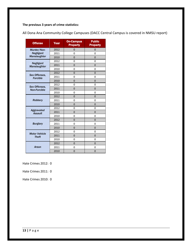# **The previous 3 years of crime statistics:**

| <b>Offense</b>                       | Year | <b>On-Campus</b><br><b>Property</b> | <b>Public</b><br><b>Property</b> |
|--------------------------------------|------|-------------------------------------|----------------------------------|
| Murder/Non-                          | 2012 | 0                                   | 0                                |
| <b>Negligent</b>                     | 2011 | $\Omega$                            | 0                                |
| Manslaughter                         | 2010 | $\Omega$                            | $\mathbf 0$                      |
| <b>Negligent</b>                     | 2012 | $\Omega$                            | $\Omega$                         |
| Manslaughter                         | 2011 | $\Omega$                            | 0                                |
|                                      | 2010 | 0                                   | 0                                |
| Sex Offenses,                        | 2012 | $\mathbf 0$                         | 0                                |
| <b>Forcible</b>                      | 2011 | $\overline{0}$                      | $\Omega$                         |
|                                      | 2010 | $\Omega$                            | $\Omega$                         |
|                                      | 2012 | 0                                   | $\Omega$                         |
| Sex Offenses,<br><b>Non-Forcible</b> | 2011 | $\Omega$                            | $\mathbf 0$                      |
|                                      | 2010 | 0                                   | 0                                |
| <b>Robbery</b>                       | 2012 | 0                                   | 0                                |
|                                      | 2011 | 0                                   | 0                                |
|                                      | 2010 | $\overline{0}$                      | $\Omega$                         |
| Aggravated<br><b>Assault</b>         | 2012 | 0                                   | 0                                |
|                                      | 2011 | $\overline{0}$                      | $\overline{0}$                   |
|                                      | 2010 | 0                                   | 0                                |
|                                      | 2012 | $\Omega$                            | $\mathbf 0$                      |
| <b>Burglary</b>                      | 2011 | $\Omega$                            | 0                                |
|                                      | 2010 | $\mathbf 0$                         | $\mathbf 0$                      |
| <b>Motor Vehicle</b>                 | 2012 | 0                                   | 0                                |
| <b>Theft</b>                         | 2011 | 0                                   | $\mathbf 0$                      |
|                                      | 2010 | 0                                   | 0                                |
|                                      | 2012 | $\overline{0}$                      | $\overline{0}$                   |
| Arson                                | 2011 | $\overline{0}$                      | 0                                |
|                                      | 2010 | $\overline{0}$                      | 0                                |

All Dona Ana Community College Campuses (DACC Central Campus is covered in NMSU report)

Hate Crimes 2012: 0

Hate Crimes 2011: 0

Hate Crimes 2010: 0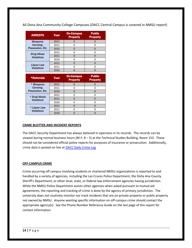All Dona Ana Community College Campuses (DACC Central Campus is covered in NMSU report)

| <b>ARRESTS</b>                         | Year | <b>On-Campus</b><br><b>Property</b> | <b>Public</b><br><b>Property</b> |
|----------------------------------------|------|-------------------------------------|----------------------------------|
| Weapons:                               | 2012 |                                     |                                  |
| Carrying,                              | 2011 | n                                   |                                  |
| Possession, Etc.                       | 2010 |                                     |                                  |
| <b>Drug Abuse</b><br><b>Violations</b> | 2012 |                                     |                                  |
|                                        | 2011 |                                     |                                  |
|                                        | 2010 |                                     |                                  |
| <b>Liquor Law</b><br><b>Violations</b> | 2012 |                                     |                                  |
|                                        | 2011 |                                     |                                  |
|                                        | 2010 |                                     |                                  |

| <b>*Referrals</b>                 | Year | <b>On-Campus</b><br><b>Property</b> | <b>Public</b><br><b>Property</b> |
|-----------------------------------|------|-------------------------------------|----------------------------------|
| * Weapons:                        | 2012 |                                     |                                  |
| Carrying.                         | 2011 |                                     |                                  |
| Possession, Etc.                  | 2010 |                                     |                                  |
| * Drug Abuse<br><b>Violations</b> | 2012 |                                     |                                  |
|                                   | 2011 |                                     |                                  |
|                                   | 2010 |                                     |                                  |
| * Liquor Law<br><b>Violations</b> | 2012 |                                     |                                  |
|                                   | 2011 |                                     |                                  |
|                                   | 2010 |                                     |                                  |

# **CRIME BLOTTER AND INCIDENT REPORTS**

The DACC Security Department has always believed in openness in its records. The records can be viewed during normal business hours (M-F, 8 – 5) at the Technical Studies Building, Room 153. These should not be considered official police reports for purposes of insurance or prosecution. Additionally, crime data is posted on line at **DACC Daily Crime Log** 

#### **OFF-CAMPUS CRIME**

Crime occurring off campus involving students or chartered NMSU organizations is reported to and handled by a variety of agencies, including the Las Cruces Police Department, the Doña Ana County Sheriff's Department, or other local, state, or federal law enforcement agencies having jurisdiction. While the NMSU Police Department assists other agencies when asked pursuant to mutual aid agreements, the reporting and tracking of crime is done by the agency of primary jurisdiction. The university does not routinely monitor nor track incidents that are on private property or public property not owned by NMSU. Anyone wanting specific information on off-campus crime should contact the appropriate agency(s). See the Phone Number Reference Guide on the last page of this report for contact information.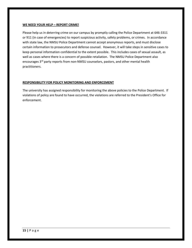#### **WE NEED YOUR HELP – REPORT CRIME!**

Please help us in deterring crime on our campus by promptly calling the Police Department at 646-3311 or 911 (in case of emergencies) to report suspicious activity, safety problems, or crimes. In accordance with state law, the NMSU Police Department cannot accept anonymous reports, and must disclose certain information to prosecutors and defense counsel. However, it will take steps in sensitive cases to keep personal information confidential to the extent possible. This includes cases of sexual assault, as well as cases where there is a concern of possible retaliation. The NMSU Police Department also encourages 3<sup>rd</sup> party reports from non-NMSU counselors, pastors, and other mental health practitioners.

#### **RESPONSIBILITY FOR POLICY MONITORING AND ENFORCEMENT**

The university has assigned responsibility for monitoring the above policies to the Police Department. If violations of policy are found to have occurred, the violations are referred to the President's Office for enforcement.